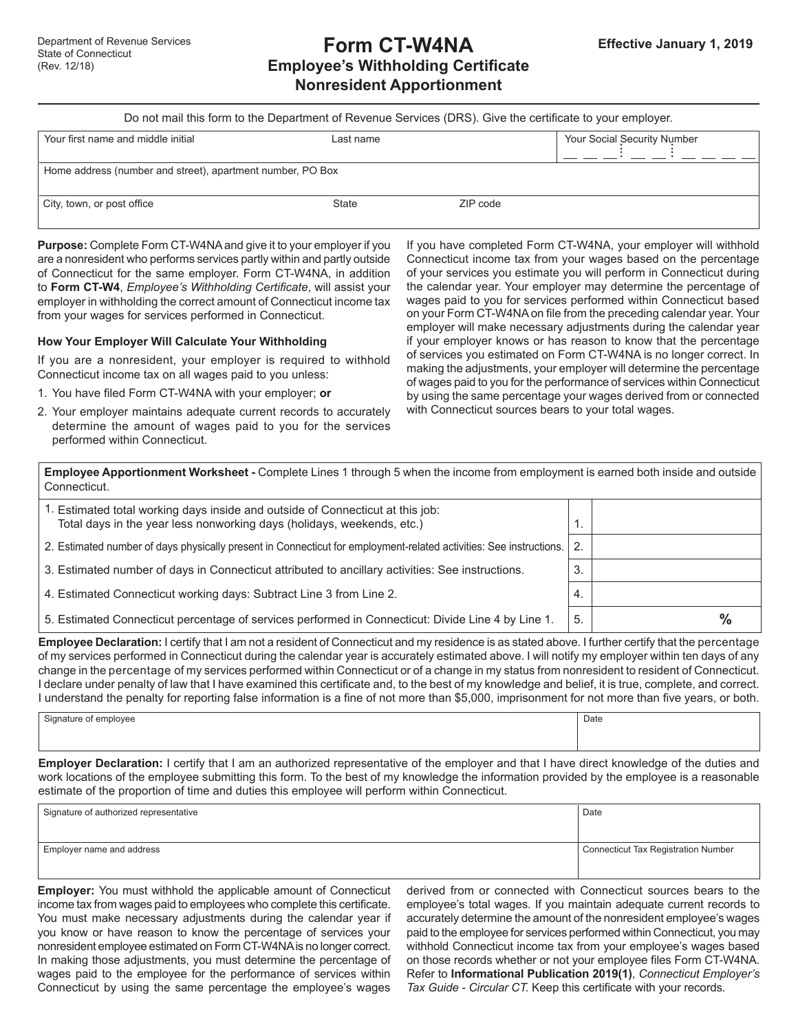# **Form CT-W4NA Employee's Withholding Certificate Nonresident Apportionment**

| Do not mail this form to the Department of Revenue Services (DRS). Give the certificate to your employer. |  |
|-----------------------------------------------------------------------------------------------------------|--|
|-----------------------------------------------------------------------------------------------------------|--|

| Your first name and middle initial                         | Last name    |          | Your Social Security Number |  |
|------------------------------------------------------------|--------------|----------|-----------------------------|--|
|                                                            |              |          |                             |  |
| Home address (number and street), apartment number, PO Box |              |          |                             |  |
| City, town, or post office                                 | <b>State</b> | ZIP code |                             |  |

**Purpose:** Complete Form CT-W4NA and give it to your employer if you are a nonresident who performs services partly within and partly outside of Connecticut for the same employer. Form CT-W4NA, in addition to **Form CT-W4**, *Employee's Withholding Certificate*, will assist your employer in withholding the correct amount of Connecticut income tax from your wages for services performed in Connecticut.

## **How Your Employer Will Calculate Your Withholding**

If you are a nonresident, your employer is required to withhold Connecticut income tax on all wages paid to you unless:

- 1. You have filed Form CT-W4NA with your employer; **or**
- 2. Your employer maintains adequate current records to accurately determine the amount of wages paid to you for the services performed within Connecticut.

If you have completed Form CT-W4NA, your employer will withhold Connecticut income tax from your wages based on the percentage of your services you estimate you will perform in Connecticut during the calendar year. Your employer may determine the percentage of wages paid to you for services performed within Connecticut based on your Form CT-W4NA on file from the preceding calendar year. Your employer will make necessary adjustments during the calendar year if your employer knows or has reason to know that the percentage of services you estimated on Form CT-W4NA is no longer correct. In making the adjustments, your employer will determine the percentage of wages paid to you for the performance of services within Connecticut by using the same percentage your wages derived from or connected with Connecticut sources bears to your total wages.

| Employee Apportionment Worksheet - Complete Lines 1 through 5 when the income from employment is earned both inside and outside |  |
|---------------------------------------------------------------------------------------------------------------------------------|--|
| Connecticut.                                                                                                                    |  |

| 1. Estimated total working days inside and outside of Connecticut at this job:<br>Total days in the year less nonworking days (holidays, weekends, etc.) | 1.  |      |
|----------------------------------------------------------------------------------------------------------------------------------------------------------|-----|------|
| 2. Estimated number of days physically present in Connecticut for employment-related activities: See instructions.                                       | 2.  |      |
| 3. Estimated number of days in Connecticut attributed to ancillary activities: See instructions.                                                         | 3.  |      |
| 4. Estimated Connecticut working days: Subtract Line 3 from Line 2.                                                                                      | -4. |      |
| 5. Estimated Connecticut percentage of services performed in Connecticut: Divide Line 4 by Line 1.                                                       | 5.  | $\%$ |

**Employee Declaration:** I certify that I am not a resident of Connecticut and my residence is as stated above. I further certify that the percentage of my services performed in Connecticut during the calendar year is accurately estimated above. I will notify my employer within ten days of any change in the percentage of my services performed within Connecticut or of a change in my status from nonresident to resident of Connecticut. I declare under penalty of law that I have examined this certificate and, to the best of my knowledge and belief, it is true, complete, and correct. I understand the penalty for reporting false information is a fine of not more than \$5,000, imprisonment for not more than five years, or both.

| Signature of employee                                                                                                               | Date |
|-------------------------------------------------------------------------------------------------------------------------------------|------|
|                                                                                                                                     |      |
| Ford and Notlandson I could that I am an authorized proposalidity of the specifical distribution disputed because of the duties and |      |

**Employer Declaration:** I certify that I am an authorized representative of the employer and that I have direct knowledge of the duties and work locations of the employee submitting this form. To the best of my knowledge the information provided by the employee is a reasonable estimate of the proportion of time and duties this employee will perform within Connecticut.

| Signature of authorized representative | Date                                |
|----------------------------------------|-------------------------------------|
|                                        |                                     |
| Employer name and address              | Connecticut Tax Registration Number |
|                                        |                                     |

**Employer:** You must withhold the applicable amount of Connecticut income tax from wages paid to employees who complete this certificate. You must make necessary adjustments during the calendar year if you know or have reason to know the percentage of services your nonresident employee estimated on Form CT-W4NA is no longer correct. In making those adjustments, you must determine the percentage of wages paid to the employee for the performance of services within Connecticut by using the same percentage the employee's wages

derived from or connected with Connecticut sources bears to the employee's total wages. If you maintain adequate current records to accurately determine the amount of the nonresident employee's wages paid to the employee for services performed within Connecticut, you may withhold Connecticut income tax from your employee's wages based on those records whether or not your employee files Form CT-W4NA. Refer to **Informational Publication 2019(1)**, *Connecticut Employer's Tax Guide - Circular CT.* Keep this certificate with your records.